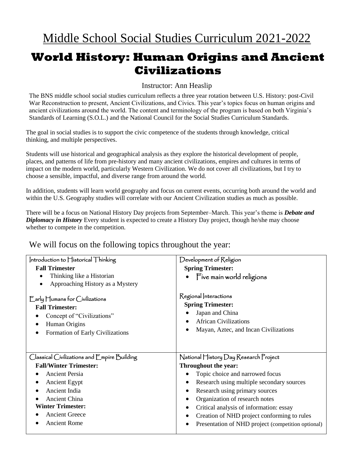## **World History: Human Origins and Ancient Civilizations**

Instructor: Ann Heaslip

The BNS middle school social studies curriculum reflects a three year rotation between U.S. History: post-Civil War Reconstruction to present, Ancient Civilizations, and Civics. This year's topics focus on human origins and ancient civilizations around the world. The content and terminology of the program is based on both Virginia's Standards of Learning (S.O.L.) and the National Council for the Social Studies Curriculum Standards.

The goal in social studies is to support the civic competence of the students through knowledge, critical thinking, and multiple perspectives.

Students will use historical and geographical analysis as they explore the historical development of people, places, and patterns of life from pre-history and many ancient civilizations, empires and cultures in terms of impact on the modern world, particularly Western Civilization. We do not cover all civilizations, but I try to choose a sensible, impactful, and diverse range from around the world.

In addition, students will learn world geography and focus on current events, occurring both around the world and within the U.S. Geography studies will correlate with our Ancient Civilization studies as much as possible.

There will be a focus on National History Day projects from September–March. This year's theme is *Debate and Diplomacy in History* Every student is expected to create a History Day project, though he/she may choose whether to compete in the competition.

| Introduction to $\bigcap$ istorical $\bigcap$ hinking                           | Development of Religion                            |
|---------------------------------------------------------------------------------|----------------------------------------------------|
| <b>Fall Trimester</b>                                                           | <b>Spring Trimester:</b>                           |
| Thinking like a Historian<br>$\bullet$                                          | Five main world religions                          |
| Approaching History as a Mystery<br>$\bullet$                                   |                                                    |
| $\mathsf{Early}$ $\mathsf{Flumans}$ for Civilizations<br><b>Fall Trimester:</b> | Regional Interactions<br><b>Spring Trimester:</b>  |
| Concept of "Civilizations"                                                      | Japan and China                                    |
| Human Origins                                                                   | <b>African Civilizations</b>                       |
| Formation of Early Civilizations                                                | Mayan, Aztec, and Incan Civilizations              |
|                                                                                 |                                                    |
| Classical Civilizations and Empire Building                                     | National History Day Research Project              |
| <b>Fall/Winter Trimester:</b>                                                   | Throughout the year:                               |
| <b>Ancient Persia</b>                                                           | Topic choice and narrowed focus                    |
| <b>Ancient Egypt</b>                                                            | Research using multiple secondary sources          |
| Ancient India                                                                   | Research using primary sources                     |
| <b>Ancient China</b>                                                            | Organization of research notes                     |
| <b>Winter Trimester:</b>                                                        | Critical analysis of information: essay            |
| <b>Ancient Greece</b>                                                           | Creation of NHD project conforming to rules        |
| <b>Ancient Rome</b>                                                             | Presentation of NHD project (competition optional) |

We will focus on the following topics throughout the year: